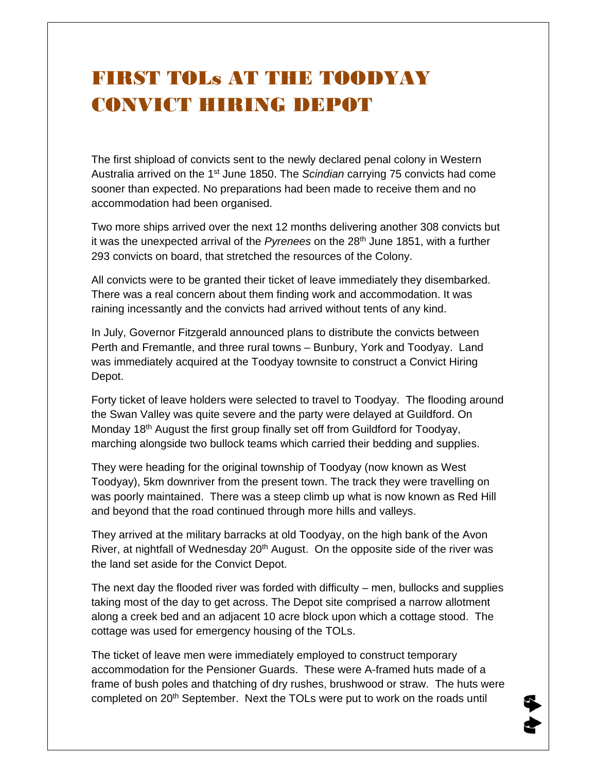## FIRST TOLs AT THE TOODYAY CONVICT HIRING DEPOT

The first shipload of convicts sent to the newly declared penal colony in Western Australia arrived on the 1st June 1850. The *Scindian* carrying 75 convicts had come sooner than expected. No preparations had been made to receive them and no accommodation had been organised.

Two more ships arrived over the next 12 months delivering another 308 convicts but it was the unexpected arrival of the Pyrenees on the 28<sup>th</sup> June 1851, with a further 293 convicts on board, that stretched the resources of the Colony.

All convicts were to be granted their ticket of leave immediately they disembarked. There was a real concern about them finding work and accommodation. It was raining incessantly and the convicts had arrived without tents of any kind.

In July, Governor Fitzgerald announced plans to distribute the convicts between Perth and Fremantle, and three rural towns – Bunbury, York and Toodyay. Land was immediately acquired at the Toodyay townsite to construct a Convict Hiring Depot.

Forty ticket of leave holders were selected to travel to Toodyay. The flooding around the Swan Valley was quite severe and the party were delayed at Guildford. On Monday 18<sup>th</sup> August the first group finally set off from Guildford for Toodyay, marching alongside two bullock teams which carried their bedding and supplies.

They were heading for the original township of Toodyay (now known as West Toodyay), 5km downriver from the present town. The track they were travelling on was poorly maintained. There was a steep climb up what is now known as Red Hill and beyond that the road continued through more hills and valleys.

They arrived at the military barracks at old Toodyay, on the high bank of the Avon River, at nightfall of Wednesday  $20<sup>th</sup>$  August. On the opposite side of the river was the land set aside for the Convict Depot.

The next day the flooded river was forded with difficulty  $-$  men, bullocks and supplies taking most of the day to get across. The Depot site comprised a narrow allotment along a creek bed and an adjacent 10 acre block upon which a cottage stood. The cottage was used for emergency housing of the TOLs.

The ticket of leave men were immediately employed to construct temporary accommodation for the Pensioner Guards. These were A-framed huts made of a frame of bush poles and thatching of dry rushes, brushwood or straw. The huts were completed on 20<sup>th</sup> September. Next the TOLs were put to work on the roads until